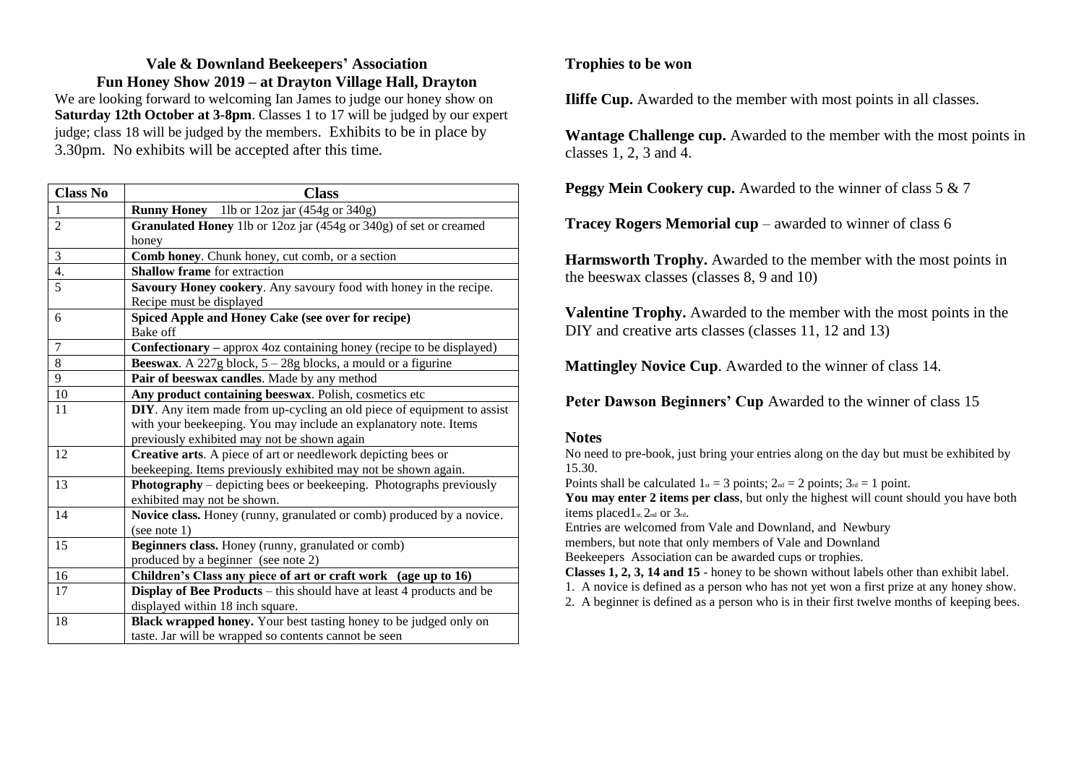## **Vale & Downland Beekeepers' Association Fun Honey Show 2019 – at Drayton Village Hall, Drayton**

We are looking forward to welcoming Ian James to judge our honey show on **Saturday 12th October at 3-8pm**. Classes 1 to 17 will be judged by our expert judge; class 18 will be judged by the members. Exhibits to be in place by 3.30pm. No exhibits will be accepted after this time.

| <b>Class No</b> | <b>Class</b>                                                              |
|-----------------|---------------------------------------------------------------------------|
|                 | <b>Runny Honey</b> 1lb or 12oz jar (454g or 340g)                         |
| $\overline{c}$  | Granulated Honey 1lb or 12oz jar (454g or 340g) of set or creamed         |
|                 | honey                                                                     |
| 3               | Comb honey. Chunk honey, cut comb, or a section                           |
| 4.              | <b>Shallow frame</b> for extraction                                       |
| 5               | Savoury Honey cookery. Any savoury food with honey in the recipe.         |
|                 | Recipe must be displayed                                                  |
| 6               | Spiced Apple and Honey Cake (see over for recipe)                         |
|                 | Bake off                                                                  |
| 7               | Confectionary - approx 4oz containing honey (recipe to be displayed)      |
| 8               | <b>Beeswax</b> . A 227g block, $5 - 28g$ blocks, a mould or a figurine    |
| 9               | Pair of beeswax candles. Made by any method                               |
| $10\,$          | Any product containing beeswax. Polish, cosmetics etc                     |
| 11              | DIY. Any item made from up-cycling an old piece of equipment to assist    |
|                 | with your beekeeping. You may include an explanatory note. Items          |
|                 | previously exhibited may not be shown again                               |
| 12              | Creative arts. A piece of art or needlework depicting bees or             |
|                 | beekeeping. Items previously exhibited may not be shown again.            |
| 13              | <b>Photography</b> – depicting bees or beekeeping. Photographs previously |
|                 | exhibited may not be shown.                                               |
| 14              | Novice class. Honey (runny, granulated or comb) produced by a novice.     |
|                 | (see note 1)                                                              |
| 15              | Beginners class. Honey (runny, granulated or comb)                        |
|                 | produced by a beginner (see note 2)                                       |
| 16              | Children's Class any piece of art or craft work (age up to 16)            |
| 17              | Display of Bee Products – this should have at least 4 products and be     |
|                 | displayed within 18 inch square.                                          |
| 18              | <b>Black wrapped honey.</b> Your best tasting honey to be judged only on  |
|                 | taste. Jar will be wrapped so contents cannot be seen                     |

### **Trophies to be won**

**Iliffe Cup.** Awarded to the member with most points in all classes.

**Wantage Challenge cup.** Awarded to the member with the most points in classes 1, 2, 3 and 4.

**Peggy Mein Cookery cup.** Awarded to the winner of class 5 & 7

**Tracey Rogers Memorial cup** – awarded to winner of class 6

**Harmsworth Trophy.** Awarded to the member with the most points in the beeswax classes (classes 8, 9 and 10)

**Valentine Trophy.** Awarded to the member with the most points in the DIY and creative arts classes (classes 11, 12 and 13)

**Mattingley Novice Cup**. Awarded to the winner of class 14.

**Peter Dawson Beginners' Cup** Awarded to the winner of class 15

#### **Notes**

No need to pre-book, just bring your entries along on the day but must be exhibited by 15.30.

Points shall be calculated  $1_{st} = 3$  points;  $2_{nd} = 2$  points;  $3_{rd} = 1$  point.

**You may enter 2 items per class**, but only the highest will count should you have both items placed $1_{st}$ ,  $2_{nd}$  or  $3_{rd}$ .

Entries are welcomed from Vale and Downland, and Newbury members, but note that only members of Vale and Downland

Beekeepers Association can be awarded cups or trophies.

**Classes 1, 2, 3, 14 and 15** - honey to be shown without labels other than exhibit label.

1. A novice is defined as a person who has not yet won a first prize at any honey show.

2. A beginner is defined as a person who is in their first twelve months of keeping bees.